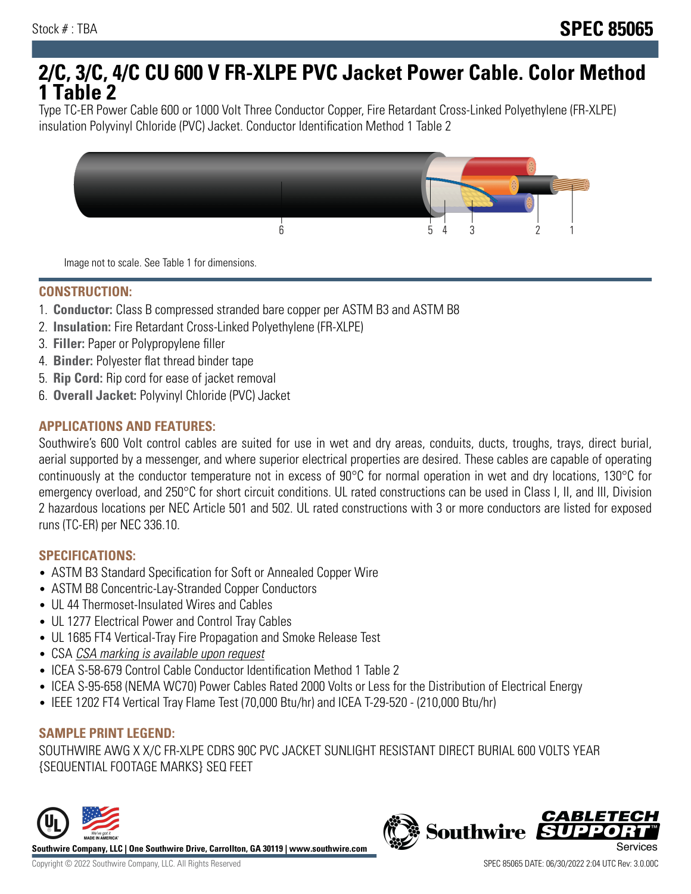# **2/C, 3/C, 4/C CU 600 V FR-XLPE PVC Jacket Power Cable. Color Method 1 Table 2**

Type TC-ER Power Cable 600 or 1000 Volt Three Conductor Copper, Fire Retardant Cross-Linked Polyethylene (FR-XLPE) insulation Polyvinyl Chloride (PVC) Jacket. Conductor Identification Method 1 Table 2



Image not to scale. See Table 1 for dimensions.

#### **CONSTRUCTION:**

- 1. **Conductor:** Class B compressed stranded bare copper per ASTM B3 and ASTM B8
- 2. **Insulation:** Fire Retardant Cross-Linked Polyethylene (FR-XLPE)
- 3. **Filler:** Paper or Polypropylene filler
- 4. **Binder:** Polyester flat thread binder tape
- 5. **Rip Cord:** Rip cord for ease of jacket removal
- 6. **Overall Jacket:** Polyvinyl Chloride (PVC) Jacket

## **APPLICATIONS AND FEATURES:**

Southwire's 600 Volt control cables are suited for use in wet and dry areas, conduits, ducts, troughs, trays, direct burial, aerial supported by a messenger, and where superior electrical properties are desired. These cables are capable of operating continuously at the conductor temperature not in excess of 90°C for normal operation in wet and dry locations, 130°C for emergency overload, and 250°C for short circuit conditions. UL rated constructions can be used in Class I, II, and III, Division 2 hazardous locations per NEC Article 501 and 502. UL rated constructions with 3 or more conductors are listed for exposed runs (TC-ER) per NEC 336.10.

#### **SPECIFICATIONS:**

- ASTM B3 Standard Specification for Soft or Annealed Copper Wire
- ASTM B8 Concentric-Lay-Stranded Copper Conductors
- UL 44 Thermoset-Insulated Wires and Cables
- UL 1277 Electrical Power and Control Tray Cables
- UL 1685 FT4 Vertical-Tray Fire Propagation and Smoke Release Test
- CSA CSA marking is available upon request
- ICEA S-58-679 Control Cable Conductor Identification Method 1 Table 2
- ICEA S-95-658 (NEMA WC70) Power Cables Rated 2000 Volts or Less for the Distribution of Electrical Energy
- IEEE 1202 FT4 Vertical Tray Flame Test (70,000 Btu/hr) and ICEA T-29-520 (210,000 Btu/hr)

#### **SAMPLE PRINT LEGEND:**

SOUTHWIRE AWG X X/C FR-XLPE CDRS 90C PVC JACKET SUNLIGHT RESISTANT DIRECT BURIAL 600 VOLTS YEAR {SEQUENTIAL FOOTAGE MARKS} SEQ FEET